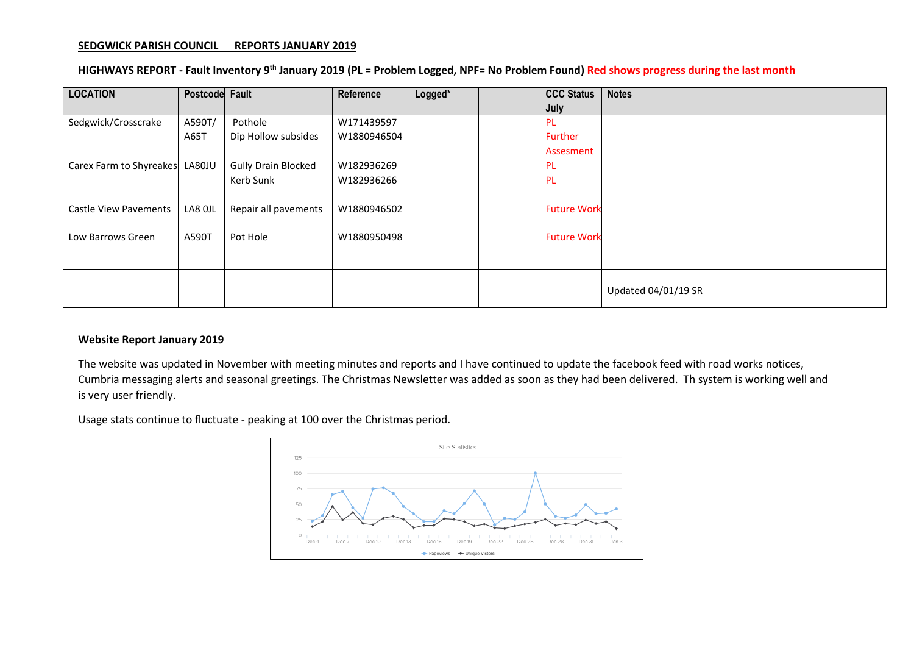#### **SEDGWICK PARISH COUNCIL REPORTS JANUARY 2019**

## **HIGHWAYS REPORT - Fault Inventory 9 th January 2019 (PL = Problem Logged, NPF= No Problem Found) Red shows progress during the last month**

| <b>LOCATION</b>              | Postcode Fault |                            | Reference   | Logged* | <b>CCC Status</b>  | <b>Notes</b>        |
|------------------------------|----------------|----------------------------|-------------|---------|--------------------|---------------------|
|                              |                |                            |             |         | July               |                     |
| Sedgwick/Crosscrake          | A590T/         | Pothole                    | W171439597  |         | <b>PL</b>          |                     |
|                              | A65T           | Dip Hollow subsides        | W1880946504 |         | Further            |                     |
|                              |                |                            |             |         | Assesment          |                     |
| Carex Farm to Shyreakes      | LA80JU         | <b>Gully Drain Blocked</b> | W182936269  |         | <b>PL</b>          |                     |
|                              |                | Kerb Sunk                  | W182936266  |         | <b>PL</b>          |                     |
|                              |                |                            |             |         |                    |                     |
| <b>Castle View Pavements</b> | LA8 OJL        | Repair all pavements       | W1880946502 |         | <b>Future Work</b> |                     |
|                              |                |                            |             |         |                    |                     |
| Low Barrows Green            | A590T          | Pot Hole                   | W1880950498 |         | <b>Future Work</b> |                     |
|                              |                |                            |             |         |                    |                     |
|                              |                |                            |             |         |                    |                     |
|                              |                |                            |             |         |                    |                     |
|                              |                |                            |             |         |                    | Updated 04/01/19 SR |
|                              |                |                            |             |         |                    |                     |

#### **Website Report January 2019**

The website was updated in November with meeting minutes and reports and I have continued to update the facebook feed with road works notices, Cumbria messaging alerts and seasonal greetings. The Christmas Newsletter was added as soon as they had been delivered. Th system is working well and is very user friendly.

Usage stats continue to fluctuate - peaking at 100 over the Christmas period.

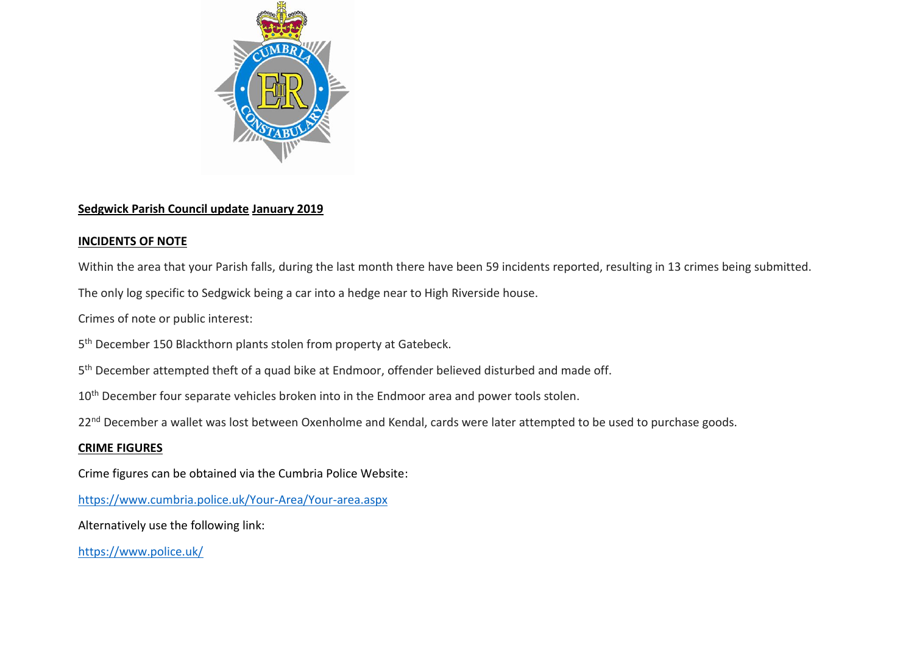

# **Sedgwick Parish Council update January 2019**

# **INCIDENTS OF NOTE**

Within the area that your Parish falls, during the last month there have been 59 incidents reported, resulting in 13 crimes being submitted.

The only log specific to Sedgwick being a car into a hedge near to High Riverside house.

Crimes of note or public interest:

5<sup>th</sup> December 150 Blackthorn plants stolen from property at Gatebeck.

5<sup>th</sup> December attempted theft of a quad bike at Endmoor, offender believed disturbed and made off.

10<sup>th</sup> December four separate vehicles broken into in the Endmoor area and power tools stolen.

22<sup>nd</sup> December a wallet was lost between Oxenholme and Kendal, cards were later attempted to be used to purchase goods.

# **CRIME FIGURES**

Crime figures can be obtained via the Cumbria Police Website:

<https://www.cumbria.police.uk/Your-Area/Your-area.aspx>

Alternatively use the following link:

<https://www.police.uk/>